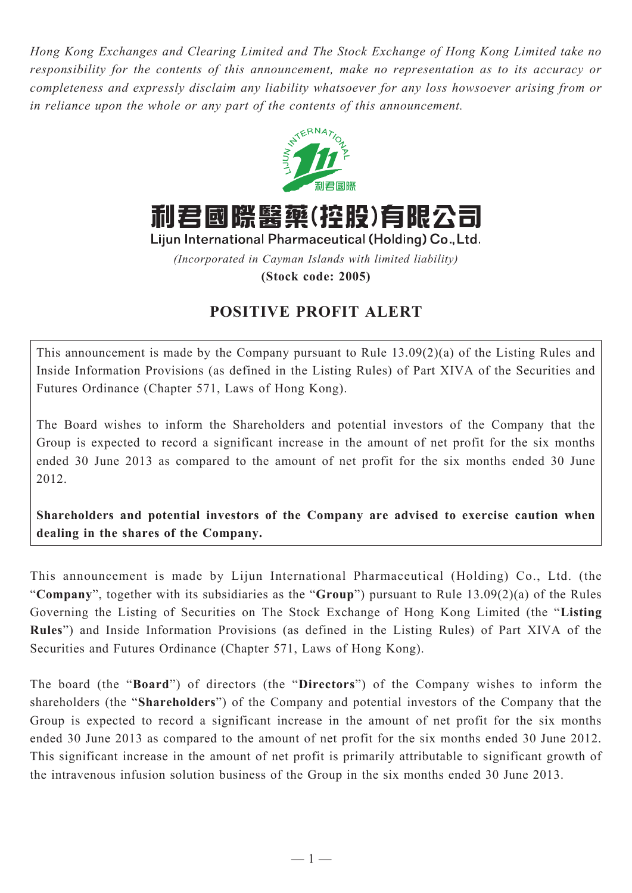*Hong Kong Exchanges and Clearing Limited and The Stock Exchange of Hong Kong Limited take no responsibility for the contents of this announcement, make no representation as to its accuracy or completeness and expressly disclaim any liability whatsoever for any loss howsoever arising from or in reliance upon the whole or any part of the contents of this announcement.*



利君國際醫藥(控股)有限公司

Lijun International Pharmaceutical (Holding) Co., Ltd.

*(Incorporated in Cayman Islands with limited liability)*

**(Stock code: 2005)**

## **POSITIVE PROFIT ALERT**

This announcement is made by the Company pursuant to Rule 13.09(2)(a) of the Listing Rules and Inside Information Provisions (as defined in the Listing Rules) of Part XIVA of the Securities and Futures Ordinance (Chapter 571, Laws of Hong Kong).

The Board wishes to inform the Shareholders and potential investors of the Company that the Group is expected to record a significant increase in the amount of net profit for the six months ended 30 June 2013 as compared to the amount of net profit for the six months ended 30 June 2012.

**Shareholders and potential investors of the Company are advised to exercise caution when dealing in the shares of the Company.**

This announcement is made by Lijun International Pharmaceutical (Holding) Co., Ltd. (the "**Company**", together with its subsidiaries as the "**Group**") pursuant to Rule 13.09(2)(a) of the Rules Governing the Listing of Securities on The Stock Exchange of Hong Kong Limited (the "**Listing Rules**") and Inside Information Provisions (as defined in the Listing Rules) of Part XIVA of the Securities and Futures Ordinance (Chapter 571, Laws of Hong Kong).

The board (the "**Board**") of directors (the "**Directors**") of the Company wishes to inform the shareholders (the "**Shareholders**") of the Company and potential investors of the Company that the Group is expected to record a significant increase in the amount of net profit for the six months ended 30 June 2013 as compared to the amount of net profit for the six months ended 30 June 2012. This significant increase in the amount of net profit is primarily attributable to significant growth of the intravenous infusion solution business of the Group in the six months ended 30 June 2013.